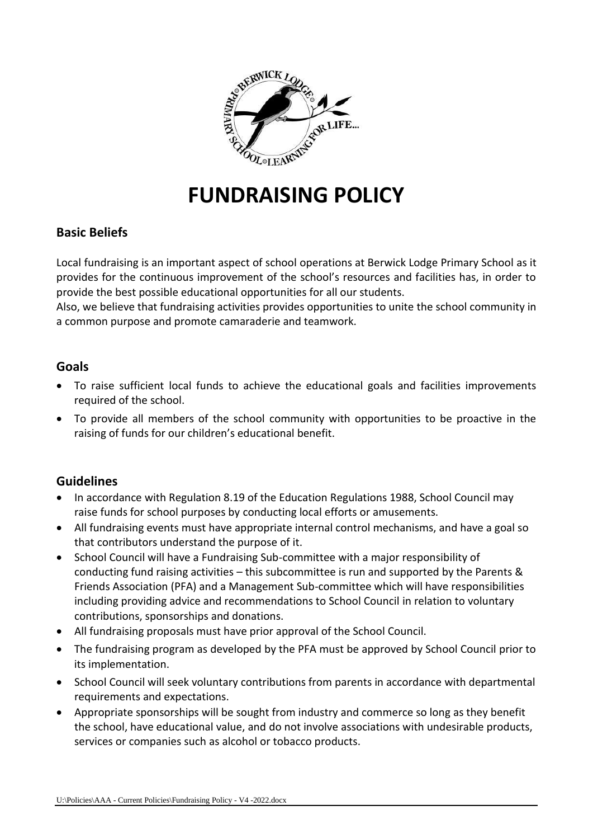

# **FUNDRAISING POLICY**

# **Basic Beliefs**

Local fundraising is an important aspect of school operations at Berwick Lodge Primary School as it provides for the continuous improvement of the school's resources and facilities has, in order to provide the best possible educational opportunities for all our students.

Also, we believe that fundraising activities provides opportunities to unite the school community in a common purpose and promote camaraderie and teamwork.

## **Goals**

- To raise sufficient local funds to achieve the educational goals and facilities improvements required of the school.
- To provide all members of the school community with opportunities to be proactive in the raising of funds for our children's educational benefit.

## **Guidelines**

- In accordance with Regulation 8.19 of the Education Regulations 1988, School Council may raise funds for school purposes by conducting local efforts or amusements.
- All fundraising events must have appropriate internal control mechanisms, and have a goal so that contributors understand the purpose of it.
- School Council will have a Fundraising Sub-committee with a major responsibility of conducting fund raising activities – this subcommittee is run and supported by the Parents & Friends Association (PFA) and a Management Sub-committee which will have responsibilities including providing advice and recommendations to School Council in relation to voluntary contributions, sponsorships and donations.
- All fundraising proposals must have prior approval of the School Council.
- The fundraising program as developed by the PFA must be approved by School Council prior to its implementation.
- School Council will seek voluntary contributions from parents in accordance with departmental requirements and expectations.
- Appropriate sponsorships will be sought from industry and commerce so long as they benefit the school, have educational value, and do not involve associations with undesirable products, services or companies such as alcohol or tobacco products.